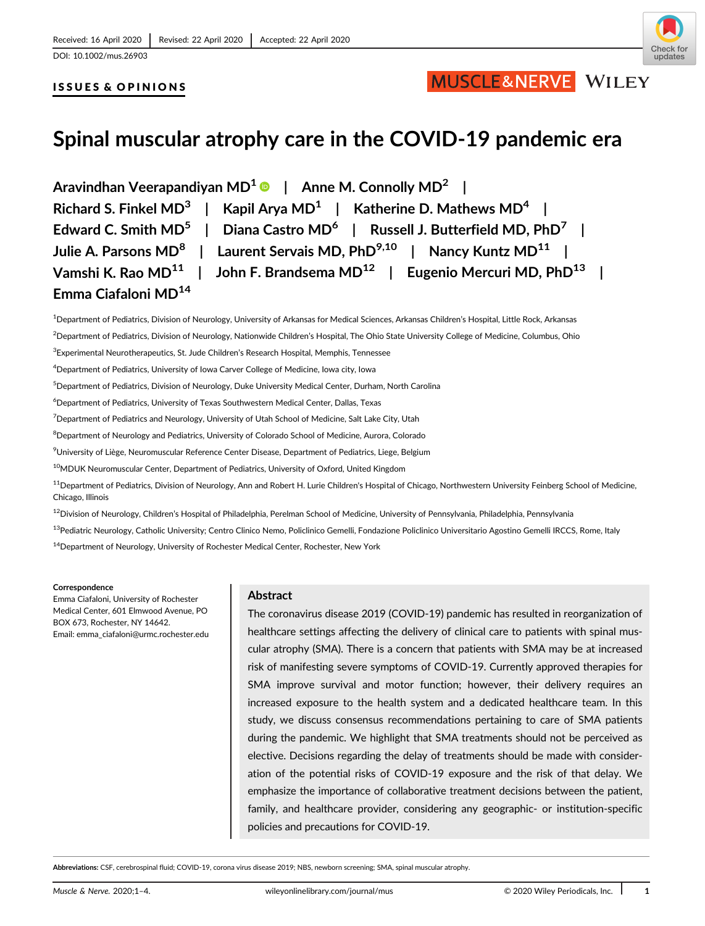ISSUES & OPINIONS



## MUSCLE&NERVE WILEY

# Spinal muscular atrophy care in the COVID-19 pandemic era

Aravindhan Veerapandiyan MD<sup>1</sup> | Anne M. Connolly MD<sup>2</sup> | Richard S. Finkel MD<sup>3</sup> | Kapil Arya MD<sup>1</sup> | Katherine D. Mathews MD<sup>4</sup> | Edward C. Smith  $MD^5$  | Diana Castro MD<sup>6</sup> | Russell J. Butterfield MD, PhD<sup>7</sup> | Julie A. Parsons MD<sup>8</sup> | Laurent Servais MD, PhD<sup>9,10</sup> | Nancy Kuntz MD<sup>11</sup> | Vamshi K. Rao MD<sup>11</sup> | John F. Brandsema MD<sup>12</sup> | Eugenio Mercuri MD, PhD<sup>13</sup> | Emma Ciafaloni MD14

1 Department of Pediatrics, Division of Neurology, University of Arkansas for Medical Sciences, Arkansas Children's Hospital, Little Rock, Arkansas

2 Department of Pediatrics, Division of Neurology, Nationwide Children's Hospital, The Ohio State University College of Medicine, Columbus, Ohio

<sup>3</sup>Experimental Neurotherapeutics, St. Jude Children's Research Hospital, Memphis, Tennessee

4 Department of Pediatrics, University of Iowa Carver College of Medicine, Iowa city, Iowa

5 Department of Pediatrics, Division of Neurology, Duke University Medical Center, Durham, North Carolina

6 Department of Pediatrics, University of Texas Southwestern Medical Center, Dallas, Texas

 $^7$ Department of Pediatrics and Neurology, University of Utah School of Medicine, Salt Lake City, Utah

<sup>8</sup>Department of Neurology and Pediatrics, University of Colorado School of Medicine, Aurora, Colorado

<sup>9</sup>University of Liège, Neuromuscular Reference Center Disease, Department of Pediatrics, Liege, Belgium

<sup>10</sup>MDUK Neuromuscular Center, Department of Pediatrics, University of Oxford, United Kingdom

<sup>11</sup>Department of Pediatrics, Division of Neurology, Ann and Robert H. Lurie Children's Hospital of Chicago, Northwestern University Feinberg School of Medicine, Chicago, Illinois

<sup>12</sup>Division of Neurology, Children's Hospital of Philadelphia, Perelman School of Medicine, University of Pennsylvania, Philadelphia, Pennsylvania

<sup>13</sup>Pediatric Neurology, Catholic University; Centro Clinico Nemo, Policlinico Gemelli, Fondazione Policlinico Universitario Agostino Gemelli IRCCS, Rome, Italy

<sup>14</sup>Department of Neurology, University of Rochester Medical Center, Rochester, New York

Correspondence

Emma Ciafaloni, University of Rochester Medical Center, 601 Elmwood Avenue, PO BOX 673, Rochester, NY 14642. Email: [emma\\_ciafaloni@urmc.rochester.edu](mailto:emma_ciafaloni@urmc.rochester.edu)

#### **Abstract**

The coronavirus disease 2019 (COVID-19) pandemic has resulted in reorganization of healthcare settings affecting the delivery of clinical care to patients with spinal muscular atrophy (SMA). There is a concern that patients with SMA may be at increased risk of manifesting severe symptoms of COVID-19. Currently approved therapies for SMA improve survival and motor function; however, their delivery requires an increased exposure to the health system and a dedicated healthcare team. In this study, we discuss consensus recommendations pertaining to care of SMA patients during the pandemic. We highlight that SMA treatments should not be perceived as elective. Decisions regarding the delay of treatments should be made with consideration of the potential risks of COVID-19 exposure and the risk of that delay. We emphasize the importance of collaborative treatment decisions between the patient, family, and healthcare provider, considering any geographic- or institution-specific policies and precautions for COVID-19.

Abbreviations: CSF, cerebrospinal fluid; COVID-19, corona virus disease 2019; NBS, newborn screening; SMA, spinal muscular atrophy.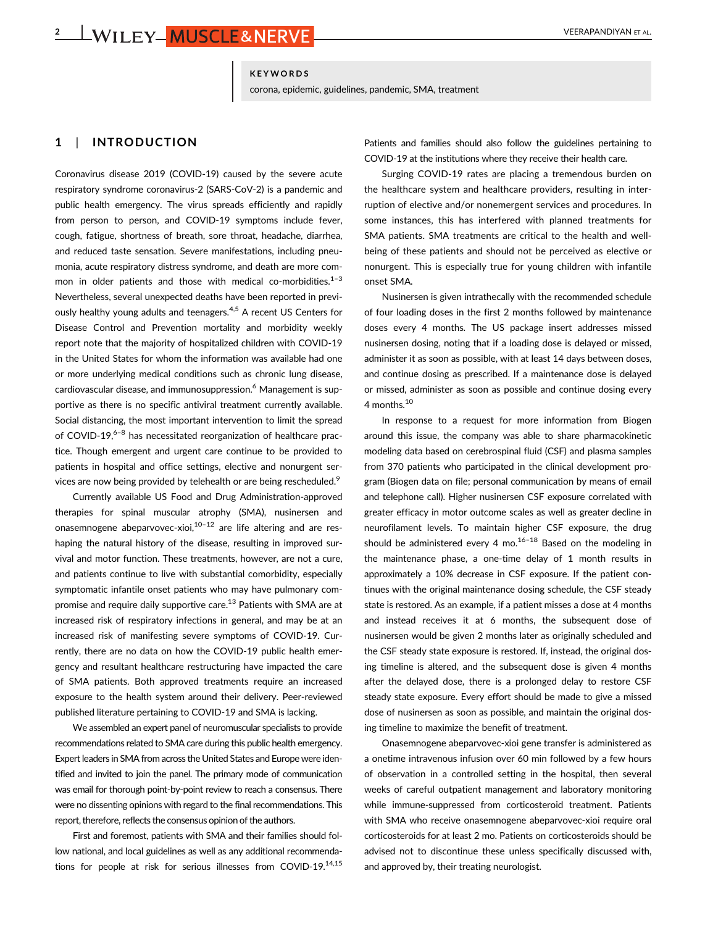### KEYWORDS

corona, epidemic, guidelines, pandemic, SMA, treatment

## 1 | INTRODUCTION

Coronavirus disease 2019 (COVID-19) caused by the severe acute respiratory syndrome coronavirus-2 (SARS-CoV-2) is a pandemic and public health emergency. The virus spreads efficiently and rapidly from person to person, and COVID-19 symptoms include fever, cough, fatigue, shortness of breath, sore throat, headache, diarrhea, and reduced taste sensation. Severe manifestations, including pneumonia, acute respiratory distress syndrome, and death are more common in older patients and those with medical co-morbidities. $1-3$ Nevertheless, several unexpected deaths have been reported in previously healthy young adults and teenagers.<sup>4,5</sup> A recent US Centers for Disease Control and Prevention mortality and morbidity weekly report note that the majority of hospitalized children with COVID-19 in the United States for whom the information was available had one or more underlying medical conditions such as chronic lung disease, cardiovascular disease, and immunosuppression.<sup>6</sup> Management is supportive as there is no specific antiviral treatment currently available. Social distancing, the most important intervention to limit the spread of COVID-19 $<sup>6-8</sup>$  has necessitated reorganization of healthcare prac-</sup> tice. Though emergent and urgent care continue to be provided to patients in hospital and office settings, elective and nonurgent services are now being provided by telehealth or are being rescheduled.<sup>9</sup>

Currently available US Food and Drug Administration-approved therapies for spinal muscular atrophy (SMA), nusinersen and onasemnogene abeparvovec-xioi, $10^{-12}$  are life altering and are reshaping the natural history of the disease, resulting in improved survival and motor function. These treatments, however, are not a cure, and patients continue to live with substantial comorbidity, especially symptomatic infantile onset patients who may have pulmonary compromise and require daily supportive care.<sup>13</sup> Patients with SMA are at increased risk of respiratory infections in general, and may be at an increased risk of manifesting severe symptoms of COVID-19. Currently, there are no data on how the COVID-19 public health emergency and resultant healthcare restructuring have impacted the care of SMA patients. Both approved treatments require an increased exposure to the health system around their delivery. Peer-reviewed published literature pertaining to COVID-19 and SMA is lacking.

We assembled an expert panel of neuromuscular specialists to provide recommendations related to SMA care during this public health emergency. Expert leaders in SMA from across the United States and Europe were identified and invited to join the panel. The primary mode of communication was email for thorough point-by-point review to reach a consensus. There were no dissenting opinions with regard to the final recommendations. This report, therefore, reflects the consensus opinion of the authors.

First and foremost, patients with SMA and their families should follow national, and local guidelines as well as any additional recommendations for people at risk for serious illnesses from COVID-19.<sup>14,15</sup> Patients and families should also follow the guidelines pertaining to COVID-19 at the institutions where they receive their health care.

Surging COVID-19 rates are placing a tremendous burden on the healthcare system and healthcare providers, resulting in interruption of elective and/or nonemergent services and procedures. In some instances, this has interfered with planned treatments for SMA patients. SMA treatments are critical to the health and wellbeing of these patients and should not be perceived as elective or nonurgent. This is especially true for young children with infantile onset SMA.

Nusinersen is given intrathecally with the recommended schedule of four loading doses in the first 2 months followed by maintenance doses every 4 months. The US package insert addresses missed nusinersen dosing, noting that if a loading dose is delayed or missed, administer it as soon as possible, with at least 14 days between doses, and continue dosing as prescribed. If a maintenance dose is delayed or missed, administer as soon as possible and continue dosing every 4 months.<sup>10</sup>

In response to a request for more information from Biogen around this issue, the company was able to share pharmacokinetic modeling data based on cerebrospinal fluid (CSF) and plasma samples from 370 patients who participated in the clinical development program (Biogen data on file; personal communication by means of email and telephone call). Higher nusinersen CSF exposure correlated with greater efficacy in motor outcome scales as well as greater decline in neurofilament levels. To maintain higher CSF exposure, the drug should be administered every 4 mo. $16-18$  Based on the modeling in the maintenance phase, a one-time delay of 1 month results in approximately a 10% decrease in CSF exposure. If the patient continues with the original maintenance dosing schedule, the CSF steady state is restored. As an example, if a patient misses a dose at 4 months and instead receives it at 6 months, the subsequent dose of nusinersen would be given 2 months later as originally scheduled and the CSF steady state exposure is restored. If, instead, the original dosing timeline is altered, and the subsequent dose is given 4 months after the delayed dose, there is a prolonged delay to restore CSF steady state exposure. Every effort should be made to give a missed dose of nusinersen as soon as possible, and maintain the original dosing timeline to maximize the benefit of treatment.

Onasemnogene abeparvovec-xioi gene transfer is administered as a onetime intravenous infusion over 60 min followed by a few hours of observation in a controlled setting in the hospital, then several weeks of careful outpatient management and laboratory monitoring while immune-suppressed from corticosteroid treatment. Patients with SMA who receive onasemnogene abeparvovec-xioi require oral corticosteroids for at least 2 mo. Patients on corticosteroids should be advised not to discontinue these unless specifically discussed with, and approved by, their treating neurologist.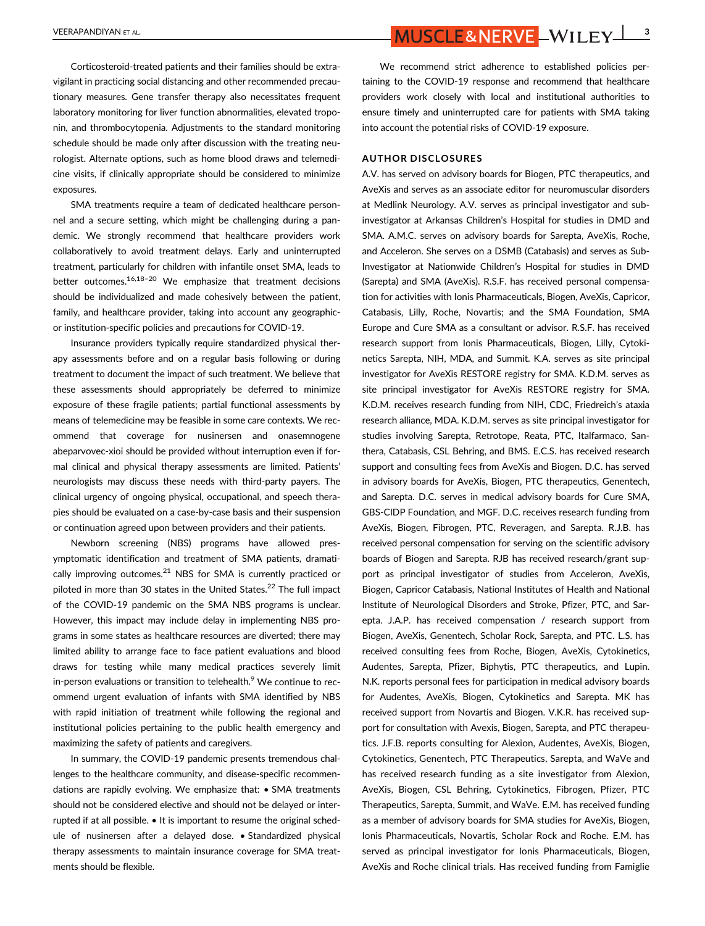Corticosteroid-treated patients and their families should be extravigilant in practicing social distancing and other recommended precautionary measures. Gene transfer therapy also necessitates frequent laboratory monitoring for liver function abnormalities, elevated troponin, and thrombocytopenia. Adjustments to the standard monitoring schedule should be made only after discussion with the treating neurologist. Alternate options, such as home blood draws and telemedicine visits, if clinically appropriate should be considered to minimize exposures.

SMA treatments require a team of dedicated healthcare personnel and a secure setting, which might be challenging during a pandemic. We strongly recommend that healthcare providers work collaboratively to avoid treatment delays. Early and uninterrupted treatment, particularly for children with infantile onset SMA, leads to better outcomes.<sup>16,18-20</sup> We emphasize that treatment decisions should be individualized and made cohesively between the patient, family, and healthcare provider, taking into account any geographicor institution-specific policies and precautions for COVID-19.

Insurance providers typically require standardized physical therapy assessments before and on a regular basis following or during treatment to document the impact of such treatment. We believe that these assessments should appropriately be deferred to minimize exposure of these fragile patients; partial functional assessments by means of telemedicine may be feasible in some care contexts. We recommend that coverage for nusinersen and onasemnogene abeparvovec-xioi should be provided without interruption even if formal clinical and physical therapy assessments are limited. Patients' neurologists may discuss these needs with third-party payers. The clinical urgency of ongoing physical, occupational, and speech therapies should be evaluated on a case-by-case basis and their suspension or continuation agreed upon between providers and their patients.

Newborn screening (NBS) programs have allowed presymptomatic identification and treatment of SMA patients, dramatically improving outcomes. $^{21}$  NBS for SMA is currently practiced or piloted in more than 30 states in the United States.<sup>22</sup> The full impact of the COVID-19 pandemic on the SMA NBS programs is unclear. However, this impact may include delay in implementing NBS programs in some states as healthcare resources are diverted; there may limited ability to arrange face to face patient evaluations and blood draws for testing while many medical practices severely limit in-person evaluations or transition to telehealth. $9$  We continue to recommend urgent evaluation of infants with SMA identified by NBS with rapid initiation of treatment while following the regional and institutional policies pertaining to the public health emergency and maximizing the safety of patients and caregivers.

In summary, the COVID-19 pandemic presents tremendous challenges to the healthcare community, and disease-specific recommendations are rapidly evolving. We emphasize that: • SMA treatments should not be considered elective and should not be delayed or interrupted if at all possible. • It is important to resume the original schedule of nusinersen after a delayed dose. • Standardized physical therapy assessments to maintain insurance coverage for SMA treatments should be flexible.

We recommend strict adherence to established policies pertaining to the COVID-19 response and recommend that healthcare providers work closely with local and institutional authorities to ensure timely and uninterrupted care for patients with SMA taking into account the potential risks of COVID-19 exposure.

#### AUTHOR DISCLOSURES

A.V. has served on advisory boards for Biogen, PTC therapeutics, and AveXis and serves as an associate editor for neuromuscular disorders at Medlink Neurology. A.V. serves as principal investigator and subinvestigator at Arkansas Children's Hospital for studies in DMD and SMA. A.M.C. serves on advisory boards for Sarepta, AveXis, Roche, and Acceleron. She serves on a DSMB (Catabasis) and serves as Sub-Investigator at Nationwide Children's Hospital for studies in DMD (Sarepta) and SMA (AveXis). R.S.F. has received personal compensation for activities with Ionis Pharmaceuticals, Biogen, AveXis, Capricor, Catabasis, Lilly, Roche, Novartis; and the SMA Foundation, SMA Europe and Cure SMA as a consultant or advisor. R.S.F. has received research support from Ionis Pharmaceuticals, Biogen, Lilly, Cytokinetics Sarepta, NIH, MDA, and Summit. K.A. serves as site principal investigator for AveXis RESTORE registry for SMA. K.D.M. serves as site principal investigator for AveXis RESTORE registry for SMA. K.D.M. receives research funding from NIH, CDC, Friedreich's ataxia research alliance, MDA. K.D.M. serves as site principal investigator for studies involving Sarepta, Retrotope, Reata, PTC, Italfarmaco, Santhera, Catabasis, CSL Behring, and BMS. E.C.S. has received research support and consulting fees from AveXis and Biogen. D.C. has served in advisory boards for AveXis, Biogen, PTC therapeutics, Genentech, and Sarepta. D.C. serves in medical advisory boards for Cure SMA, GBS-CIDP Foundation, and MGF. D.C. receives research funding from AveXis, Biogen, Fibrogen, PTC, Reveragen, and Sarepta. R.J.B. has received personal compensation for serving on the scientific advisory boards of Biogen and Sarepta. RJB has received research/grant support as principal investigator of studies from Acceleron, AveXis, Biogen, Capricor Catabasis, National Institutes of Health and National Institute of Neurological Disorders and Stroke, Pfizer, PTC, and Sarepta. J.A.P. has received compensation / research support from Biogen, AveXis, Genentech, Scholar Rock, Sarepta, and PTC. L.S. has received consulting fees from Roche, Biogen, AveXis, Cytokinetics, Audentes, Sarepta, Pfizer, Biphytis, PTC therapeutics, and Lupin. N.K. reports personal fees for participation in medical advisory boards for Audentes, AveXis, Biogen, Cytokinetics and Sarepta. MK has received support from Novartis and Biogen. V.K.R. has received support for consultation with Avexis, Biogen, Sarepta, and PTC therapeutics. J.F.B. reports consulting for Alexion, Audentes, AveXis, Biogen, Cytokinetics, Genentech, PTC Therapeutics, Sarepta, and WaVe and has received research funding as a site investigator from Alexion, AveXis, Biogen, CSL Behring, Cytokinetics, Fibrogen, Pfizer, PTC Therapeutics, Sarepta, Summit, and WaVe. E.M. has received funding as a member of advisory boards for SMA studies for AveXis, Biogen, Ionis Pharmaceuticals, Novartis, Scholar Rock and Roche. E.M. has served as principal investigator for Ionis Pharmaceuticals, Biogen, AveXis and Roche clinical trials. Has received funding from Famiglie